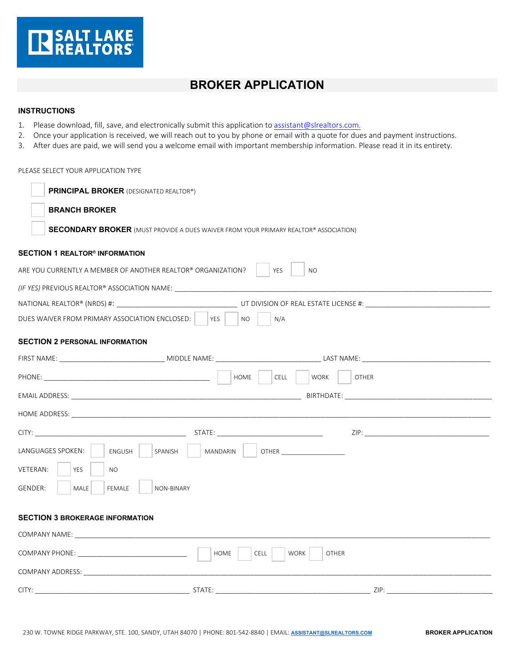

## **BROKER APPLICATION**

## **INSTRUCTIONS**

- 1. Please download, fill, save, and electronically submit this application to assistant@slrealtors.com.
- 2. Once your application is received, we will reach out to you by phone or email with a quote for dues and payment instructions.
- 3. After dues are paid, we will send you a welcome email with important membership information. Please read it in its entirety.

## PLEASE SELECT YOUR APPLICATION TYPE

| <b>PRINCIPAL BROKER (DESIGNATED REALTOR®)</b>                                               |  |                                                                                                                |
|---------------------------------------------------------------------------------------------|--|----------------------------------------------------------------------------------------------------------------|
| <b>BRANCH BROKER</b>                                                                        |  |                                                                                                                |
| <b>SECONDARY BROKER</b> (MUST PROVIDE A DUES WAIVER FROM YOUR PRIMARY REALTOR® ASSOCIATION) |  |                                                                                                                |
| $\sf{SECTION\ 1}\ REALTOR^{\circledast}$ information                                        |  |                                                                                                                |
| ARE YOU CURRENTLY A MEMBER OF ANOTHER REALTOR® ORGANIZATION?<br>YES<br><b>NO</b>            |  |                                                                                                                |
| (IF YES) PREVIOUS REALTOR® ASSOCIATION NAME: ___________________________________            |  |                                                                                                                |
|                                                                                             |  |                                                                                                                |
| DUES WAIVER FROM PRIMARY ASSOCIATION ENCLOSED:<br>YFS  <br><b>NO</b><br>N/A                 |  |                                                                                                                |
| SECTION 2 PERSONAL INFORMATION                                                              |  |                                                                                                                |
| FIRST NAME: EXAMPLE AND MIDDLE NAME: THE RESERVE AND THE RESERVE AND MIDDLE NAME:           |  |                                                                                                                |
| HOME<br>CELL<br>WORK<br><b>OTHER</b>                                                        |  |                                                                                                                |
|                                                                                             |  | BIRTHDATE: THE CONTROLLER STATE OF THE CONTROLLER STATE OF THE CONTROLLER STATE OF THE CONTROLLER STATE OF THE |
|                                                                                             |  |                                                                                                                |
|                                                                                             |  |                                                                                                                |
| LANGUAGES SPOKEN:<br>MANDARIN<br>ENGLISH<br>SPANISH                                         |  |                                                                                                                |
| VETERAN:<br><b>YES</b><br><b>NO</b>                                                         |  |                                                                                                                |
| GENDER:<br>MALE<br>FEMALE<br>NON-BINARY                                                     |  |                                                                                                                |
|                                                                                             |  |                                                                                                                |
| <b>SECTION 3 BROKERAGE INFORMATION</b>                                                      |  |                                                                                                                |
|                                                                                             |  |                                                                                                                |
| HOME<br><b>CELL</b><br><b>WORK</b><br><b>OTHER</b>                                          |  |                                                                                                                |
|                                                                                             |  |                                                                                                                |
|                                                                                             |  |                                                                                                                |